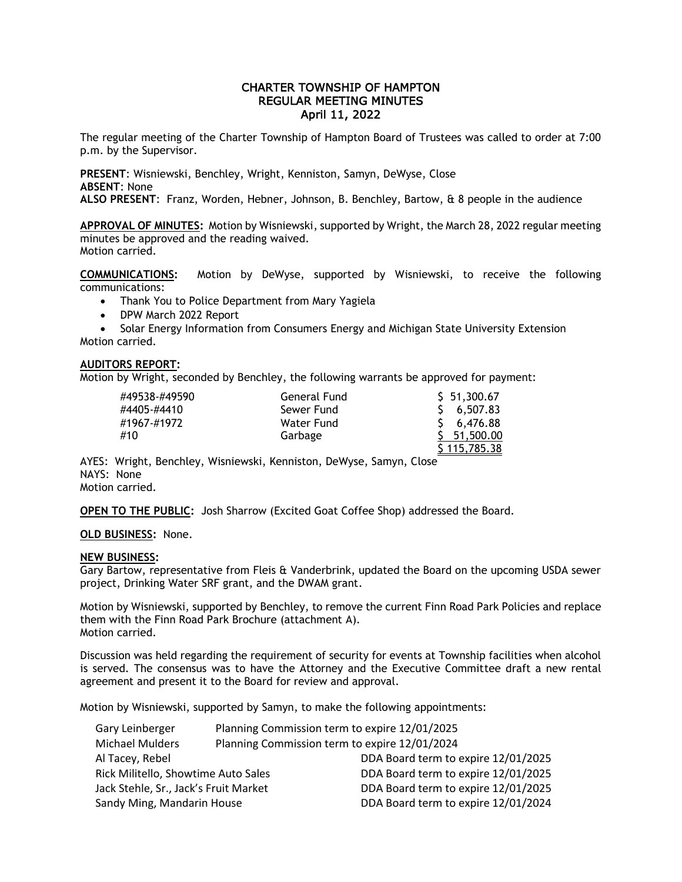# CHARTER TOWNSHIP OF HAMPTON REGULAR MEETING MINUTES April 11, 2022

The regular meeting of the Charter Township of Hampton Board of Trustees was called to order at 7:00 p.m. by the Supervisor.

**PRESENT**: Wisniewski, Benchley, Wright, Kenniston, Samyn, DeWyse, Close **ABSENT**: None

**ALSO PRESENT**: Franz, Worden, Hebner, Johnson, B. Benchley, Bartow, & 8 people in the audience

**APPROVAL OF MINUTES:** Motion by Wisniewski, supported by Wright, the March 28, 2022 regular meeting minutes be approved and the reading waived. Motion carried.

**COMMUNICATIONS:** Motion by DeWyse, supported by Wisniewski, to receive the following communications:

• Thank You to Police Department from Mary Yagiela

• DPW March 2022 Report

• Solar Energy Information from Consumers Energy and Michigan State University Extension Motion carried.

## **AUDITORS REPORT:**

Motion by Wright, seconded by Benchley, the following warrants be approved for payment:

| #49538-#49590 | General Fund | \$ 51,300.67       |
|---------------|--------------|--------------------|
| #4405-#4410   | Sewer Fund   | 5, 6, 507.83       |
| #1967-#1972   | Water Fund   | 5, 6,476.88        |
| #10           | Garbage      | $5\quad 51,500.00$ |
|               |              | \$115,785.38       |

AYES: Wright, Benchley, Wisniewski, Kenniston, DeWyse, Samyn, Close NAYS: None Motion carried.

**OPEN TO THE PUBLIC:** Josh Sharrow (Excited Goat Coffee Shop) addressed the Board.

## **OLD BUSINESS:** None.

#### **NEW BUSINESS:**

Gary Bartow, representative from Fleis & Vanderbrink, updated the Board on the upcoming USDA sewer project, Drinking Water SRF grant, and the DWAM grant.

Motion by Wisniewski, supported by Benchley, to remove the current Finn Road Park Policies and replace them with the Finn Road Park Brochure (attachment A). Motion carried.

Discussion was held regarding the requirement of security for events at Township facilities when alcohol is served. The consensus was to have the Attorney and the Executive Committee draft a new rental agreement and present it to the Board for review and approval.

Motion by Wisniewski, supported by Samyn, to make the following appointments:

| Gary Leinberger                       | Planning Commission term to expire 12/01/2025 |                                     |
|---------------------------------------|-----------------------------------------------|-------------------------------------|
| <b>Michael Mulders</b>                | Planning Commission term to expire 12/01/2024 |                                     |
| Al Tacey, Rebel                       |                                               | DDA Board term to expire 12/01/2025 |
| Rick Militello, Showtime Auto Sales   |                                               | DDA Board term to expire 12/01/2025 |
| Jack Stehle, Sr., Jack's Fruit Market |                                               | DDA Board term to expire 12/01/2025 |
| Sandy Ming, Mandarin House            |                                               | DDA Board term to expire 12/01/2024 |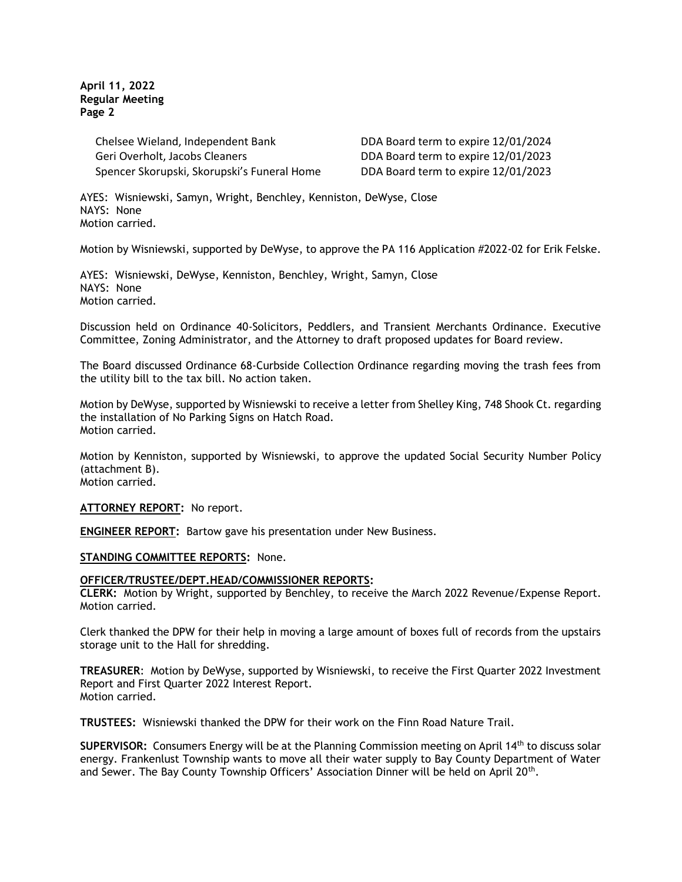**April 11, 2022 Regular Meeting Page 2**

> Chelsee Wieland, Independent Bank DDA Board term to expire 12/01/2024 Geri Overholt, Jacobs Cleaners DDA Board term to expire 12/01/2023 Spencer Skorupski, Skorupski's Funeral Home DDA Board term to expire 12/01/2023

AYES: Wisniewski, Samyn, Wright, Benchley, Kenniston, DeWyse, Close NAYS: None Motion carried.

Motion by Wisniewski, supported by DeWyse, to approve the PA 116 Application #2022-02 for Erik Felske.

AYES: Wisniewski, DeWyse, Kenniston, Benchley, Wright, Samyn, Close NAYS: None Motion carried.

Discussion held on Ordinance 40-Solicitors, Peddlers, and Transient Merchants Ordinance. Executive Committee, Zoning Administrator, and the Attorney to draft proposed updates for Board review.

The Board discussed Ordinance 68-Curbside Collection Ordinance regarding moving the trash fees from the utility bill to the tax bill. No action taken.

Motion by DeWyse, supported by Wisniewski to receive a letter from Shelley King, 748 Shook Ct. regarding the installation of No Parking Signs on Hatch Road. Motion carried.

Motion by Kenniston, supported by Wisniewski, to approve the updated Social Security Number Policy (attachment B). Motion carried.

**ATTORNEY REPORT:** No report.

**ENGINEER REPORT:** Bartow gave his presentation under New Business.

#### **STANDING COMMITTEE REPORTS:** None.

#### **OFFICER/TRUSTEE/DEPT.HEAD/COMMISSIONER REPORTS:**

**CLERK:** Motion by Wright, supported by Benchley, to receive the March 2022 Revenue/Expense Report. Motion carried.

Clerk thanked the DPW for their help in moving a large amount of boxes full of records from the upstairs storage unit to the Hall for shredding.

**TREASURER**: Motion by DeWyse, supported by Wisniewski, to receive the First Quarter 2022 Investment Report and First Quarter 2022 Interest Report. Motion carried.

**TRUSTEES:** Wisniewski thanked the DPW for their work on the Finn Road Nature Trail.

**SUPERVISOR:** Consumers Energy will be at the Planning Commission meeting on April 14th to discuss solar energy. Frankenlust Township wants to move all their water supply to Bay County Department of Water and Sewer. The Bay County Township Officers' Association Dinner will be held on April 20<sup>th</sup>.